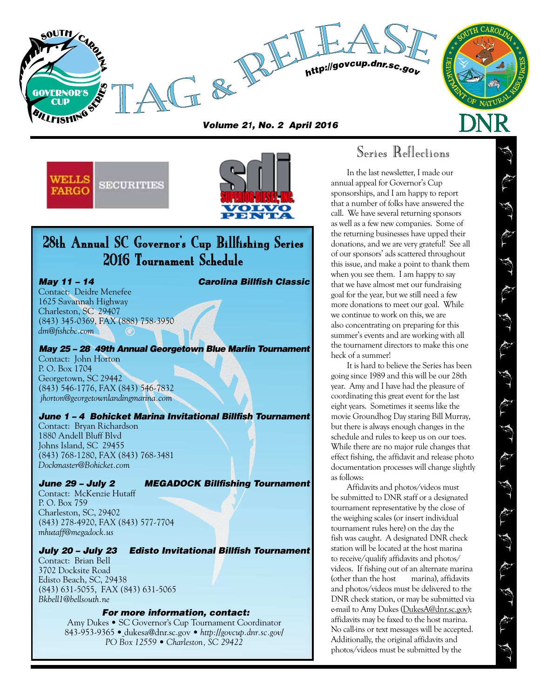

*Volume 2***1***, No. 2 April 2016*





# 28th Annual SC Governor's Cup Billfishing Series 2016 Tournament Schedule

Contact: Deidre Menefee 1625 Savannah Highway Charleston, SC 29407 (843) 345-0369, FAX (888) 758-3950 *dm@fishcbc.com*

*May 25 – 28 49th Annual Georgetown Blue Marlin Tournament* Contact: John Horton P. O. Box 1704 Georgetown, SC 29442 (843) 546-1776, FAX (843) 546-7832

 *jhorton@georgetownlandingmarina.com June 1 – 4 Bohicket Marina Invitational Billfish Tournament*

### Contact: Bryan Richardson 1880 Andell Bluff Blvd Johns Island, SC 29455 (843) 768-1280, FAX (843) 768-3481 *Dockmaster@Bohicket.com*

*June 29 – July 2 MEGADOCK Billfishing Tournament*

Contact: McKenzie Hutaff P. O. Box 759 Charleston, SC, 29402 (843) 278-4920, FAX (843) 577-7704 *mhutaff@megadock.us* 

## *July 20 – July 23 Edisto Invitational Billfish Tournament*

Contact: Brian Bell 3702 Docksite Road Edisto Beach, SC, 29438 (843) 631-5055, FAX (843) 631-5065 *Bkbell1@bellsouth.ne*

## *For more information, contact:*

Amy Dukes • SC Governor's Cup Tournament Coordinator 843-953-9365 • dukesa@dnr.sc.gov • *http://govcup.dnr.sc.gov/ PO Box 12559 • Charleston, SC 29422*

# Series Reflections

In the last newsletter, I made our annual appeal for Governor's Cup sponsorships, and I am happy to report that a number of folks have answered the call. We have several returning sponsors as well as a few new companies. Some of the returning businesses have upped their donations, and we are very grateful! See all of our sponsors' ads scattered throughout this issue, and make a point to thank them when you see them. I am happy to say that we have almost met our fundraising goal for the year, but we still need a few more donations to meet our goal. While we continue to work on this, we are also concentrating on preparing for this summer's events and are working with all the tournament directors to make this one heck of a summer!

It is hard to believe the Series has been going since 1989 and this will be our 28th year. Amy and I have had the pleasure of coordinating this great event for the last eight years. Sometimes it seems like the movie Groundhog Day staring Bill Murray, but there is always enough changes in the schedule and rules to keep us on our toes. While there are no major rule changes that effect fishing, the affidavit and release photo documentation processes will change slightly as follows:

Affidavits and photos/videos must be submitted to DNR staff or a designated tournament representative by the close of the weighing scales (or insert individual tournament rules here) on the day the fish was caught. A designated DNR check station will be located at the host marina to receive/qualify affidavits and photos/ videos. If fishing out of an alternate marina (other than the host marina), affidavits and photos/videos must be delivered to the DNR check station, or may be submitted via e-mail to Amy Dukes (DukesA@dnr.sc.gov); affidavits may be faxed to the host marina. No call-ins or text messages will be accepted. Additionally, the original affidavits and photos/videos must be submitted by the

*May 11 – 14 Carolina Billfish Classic*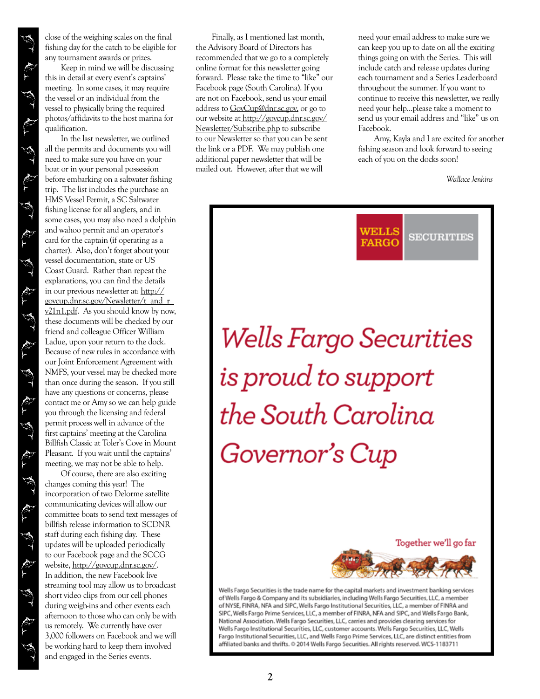close of the weighing scales on the final fishing day for the catch to be eligible for any tournament awards or prizes.

Keep in mind we will be discussing this in detail at every event's captains' meeting. In some cases, it may require the vessel or an individual from the vessel to physically bring the required photos/affidavits to the host marina for qualification.

In the last newsletter, we outlined all the permits and documents you will need to make sure you have on your boat or in your personal possession before embarking on a saltwater fishing trip. The list includes the purchase an HMS Vessel Permit, a SC Saltwater fishing license for all anglers, and in some cases, you may also need a dolphin and wahoo permit and an operator's card for the captain (if operating as a charter). Also, don't forget about your vessel documentation, state or US Coast Guard. Rather than repeat the explanations, you can find the details in our previous newsletter at: http:// govcup.dnr.sc.gov/Newsletter/t\_and\_r\_ v21n1.pdf. As you should know by now, these documents will be checked by our friend and colleague Officer William Ladue, upon your return to the dock. Because of new rules in accordance with our Joint Enforcement Agreement with NMFS, your vessel may be checked more than once during the season. If you still have any questions or concerns, please contact me or Amy so we can help guide you through the licensing and federal permit process well in advance of the first captains' meeting at the Carolina Billfish Classic at Toler's Cove in Mount Pleasant. If you wait until the captains' meeting, we may not be able to help.

Of course, there are also exciting changes coming this year! The incorporation of two Delorme satellite communicating devices will allow our committee boats to send text messages of billfish release information to SCDNR staff during each fishing day. These updates will be uploaded periodically to our Facebook page and the SCCG website, http://govcup.dnr.sc.gov/. In addition, the new Facebook live streaming tool may allow us to broadcast short video clips from our cell phones during weigh-ins and other events each afternoon to those who can only be with us remotely. We currently have over 3,000 followers on Facebook and we will be working hard to keep them involved and engaged in the Series events.

Finally, as I mentioned last month, the Advisory Board of Directors has recommended that we go to a completely online format for this newsletter going forward. Please take the time to "like" our Facebook page (South Carolina). If you are not on Facebook, send us your email address to GovCup@dnr.sc.gov, or go to our website at http://govcup.dnr.sc.gov/ Newsletter/Subscribe.php to subscribe to our Newsletter so that you can be sent the link or a PDF. We may publish one additional paper newsletter that will be mailed out. However, after that we will

need your email address to make sure we can keep you up to date on all the exciting things going on with the Series. This will include catch and release updates during each tournament and a Series Leaderboard throughout the summer. If you want to continue to receive this newsletter, we really need your help...please take a moment to send us your email address and "like" us on Facebook.

Amy, Kayla and I are excited for another fishing season and look forward to seeing each of you on the docks soon!

*Wallace Jenkins*



Together we'll go far



Wells Fargo Securities is the trade name for the capital markets and investment banking services of Wells Fargo & Company and its subsidiaries, including Wells Fargo Securities, LLC, a member of NYSE, FINRA, NFA and SIPC, Wells Fargo Institutional Securities, LLC, a member of FINRA and SIPC, Wells Fargo Prime Services, LLC, a member of FINRA, NFA and SIPC, and Wells Fargo Bank, National Association. Wells Fargo Securities, LLC, carries and provides clearing services for Wells Fargo Institutional Securities, LLC, customer accounts. Wells Fargo Securities, LLC, Wells Fargo Institutional Securities, LLC, and Wells Fargo Prime Services, LLC, are distinct entities from affiliated banks and thrifts. @ 2014 Wells Fargo Securities. All rights reserved. WCS-1183711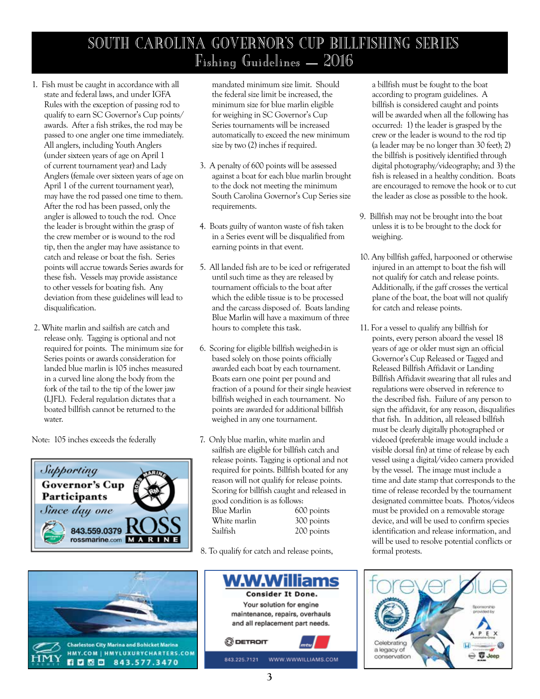# SOUTH CAROLINA GOVERNOR'S CUP BILLFISHING SERIES Fishing Guidelines – 2016

- 1. Fish must be caught in accordance with all state and federal laws, and under IGFA Rules with the exception of passing rod to qualify to earn SC Governor's Cup points/ awards. After a fish strikes, the rod may be passed to one angler one time immediately. All anglers, including Youth Anglers (under sixteen years of age on April 1 of current tournament year) and Lady Anglers (female over sixteen years of age on April 1 of the current tournament year), may have the rod passed one time to them. After the rod has been passed, only the angler is allowed to touch the rod. Once the leader is brought within the grasp of the crew member or is wound to the rod tip, then the angler may have assistance to catch and release or boat the fish. Series points will accrue towards Series awards for these fish. Vessels may provide assistance to other vessels for boating fish. Any deviation from these guidelines will lead to disqualification.
- 2. White marlin and sailfish are catch and release only. Tagging is optional and not required for points. The minimum size for Series points or awards consideration for landed blue marlin is 105 inches measured in a curved line along the body from the fork of the tail to the tip of the lower jaw (LJFL). Federal regulation dictates that a boated billfish cannot be returned to the water.

Note: 105 inches exceeds the federally





mandated minimum size limit. Should the federal size limit be increased, the minimum size for blue marlin eligible for weighing in SC Governor's Cup Series tournaments will be increased automatically to exceed the new minimum size by two (2) inches if required.

- 3. A penalty of 600 points will be assessed against a boat for each blue marlin brought to the dock not meeting the minimum South Carolina Governor's Cup Series size requirements.
- 4. Boats guilty of wanton waste of fish taken in a Series event will be disqualified from earning points in that event.
- 5. All landed fish are to be iced or refrigerated until such time as they are released by tournament officials to the boat after which the edible tissue is to be processed and the carcass disposed of. Boats landing Blue Marlin will have a maximum of three hours to complete this task.
- 6. Scoring for eligible billfish weighed-in is based solely on those points officially awarded each boat by each tournament. Boats earn one point per pound and fraction of a pound for their single heaviest billfish weighed in each tournament. No points are awarded for additional billfish weighed in any one tournament.
- 7. Only blue marlin, white marlin and sailfish are eligible for billfish catch and release points. Tagging is optional and not required for points. Billfish boated for any reason will not qualify for release points. Scoring for billfish caught and released in good condition is as follows: Blue Marlin 600 points White marlin 300 points<br>
Sailfish 200 points 200 points

8. To qualify for catch and release points,



a billfish must be fought to the boat according to program guidelines. A billfish is considered caught and points will be awarded when all the following has occurred: 1) the leader is grasped by the crew or the leader is wound to the rod tip (a leader may be no longer than 30 feet); 2) the billfish is positively identified through digital photography/videography; and 3) the fish is released in a healthy condition. Boats are encouraged to remove the hook or to cut the leader as close as possible to the hook.

- 9. Billfish may not be brought into the boat unless it is to be brought to the dock for weighing.
- 10. Any billfish gaffed, harpooned or otherwise injured in an attempt to boat the fish will not qualify for catch and release points. Additionally, if the gaff crosses the vertical plane of the boat, the boat will not qualify for catch and release points.
- 11. For a vessel to qualify any billfish for points, every person aboard the vessel 18 years of age or older must sign an official Governor's Cup Released or Tagged and Released Billfish Affidavit or Landing Billfish Affidavit swearing that all rules and regulations were observed in reference to the described fish. Failure of any person to sign the affidavit, for any reason, disqualifies that fish. In addition, all released billfish must be clearly digitally photographed or videoed (preferable image would include a visible dorsal fin) at time of release by each vessel using a digital/video camera provided by the vessel. The image must include a time and date stamp that corresponds to the time of release recorded by the tournament designated committee boats. Photos/videos must be provided on a removable storage device, and will be used to confirm species identification and release information, and will be used to resolve potential conflicts or formal protests.

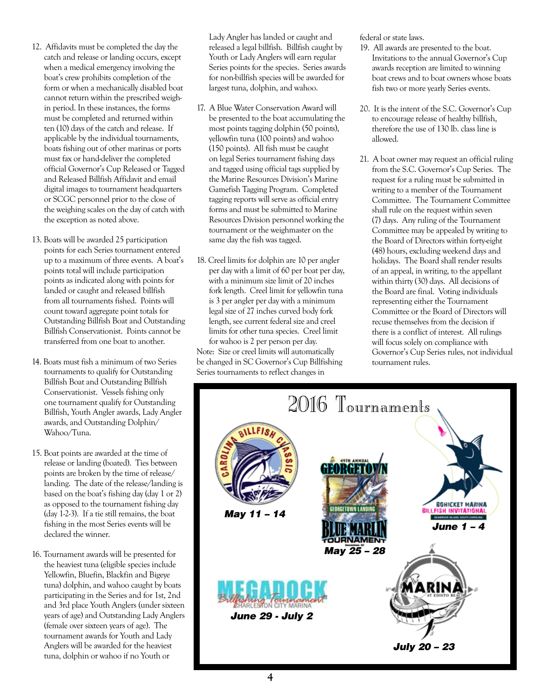- 12. Affidavits must be completed the day the catch and release or landing occurs, except when a medical emergency involving the boat's crew prohibits completion of the form or when a mechanically disabled boat cannot return within the prescribed weighin period. In these instances, the forms must be completed and returned within ten (10) days of the catch and release. If applicable by the individual tournaments, boats fishing out of other marinas or ports must fax or hand-deliver the completed official Governor's Cup Released or Tagged and Released Billfish Affidavit and email digital images to tournament headquarters or SCGC personnel prior to the close of the weighing scales on the day of catch with the exception as noted above.
- 13. Boats will be awarded 25 participation points for each Series tournament entered up to a maximum of three events. A boat's points total will include participation points as indicated along with points for landed or caught and released billfish from all tournaments fished. Points will count toward aggregate point totals for Outstanding Billfish Boat and Outstanding Billfish Conservationist. Points cannot be transferred from one boat to another.
- 14. Boats must fish a minimum of two Series tournaments to qualify for Outstanding Billfish Boat and Outstanding Billfish Conservationist. Vessels fishing only one tournament qualify for Outstanding Billfish, Youth Angler awards, Lady Angler awards, and Outstanding Dolphin/ Wahoo/Tuna.
- 15. Boat points are awarded at the time of release or landing (boated). Ties between points are broken by the time of release/ landing. The date of the release/landing is based on the boat's fishing day (day 1 or 2) as opposed to the tournament fishing day (day 1-2-3). If a tie still remains, the boat fishing in the most Series events will be declared the winner.
- 16. Tournament awards will be presented for the heaviest tuna (eligible species include Yellowfin, Bluefin, Blackfin and Bigeye tuna) dolphin, and wahoo caught by boats participating in the Series and for 1st, 2nd and 3rd place Youth Anglers (under sixteen years of age) and Outstanding Lady Anglers (female over sixteen years of age). The tournament awards for Youth and Lady Anglers will be awarded for the heaviest tuna, dolphin or wahoo if no Youth or

Lady Angler has landed or caught and released a legal billfish. Billfish caught by Youth or Lady Anglers will earn regular Series points for the species. Series awards for non-billfish species will be awarded for largest tuna, dolphin, and wahoo.

- 17. A Blue Water Conservation Award will be presented to the boat accumulating the most points tagging dolphin (50 points). yellowfin tuna (100 points) and wahoo (150 points). All fish must be caught on legal Series tournament fishing days and tagged using official tags supplied by the Marine Resources Division's Marine Gamefish Tagging Program. Completed tagging reports will serve as official entry forms and must be submitted to Marine Resources Division personnel working the tournament or the weighmaster on the same day the fish was tagged.
- 18. Creel limits for dolphin are 10 per angler per day with a limit of 60 per boat per day, with a minimum size limit of 20 inches fork length. Creel limit for yellowfin tuna is 3 per angler per day with a minimum legal size of 27 inches curved body fork length, see current federal size and creel limits for other tuna species. Creel limit for wahoo is 2 per person per day. Note: Size or creel limits will automatically be changed in SC Governor's Cup Billfishing Series tournaments to reflect changes in

federal or state laws.

- 19. All awards are presented to the boat. Invitations to the annual Governor's Cup awards reception are limited to winning boat crews and to boat owners whose boats fish two or more yearly Series events.
- 20. It is the intent of the S.C. Governor's Cup to encourage release of healthy billfish, therefore the use of 130 lb. class line is allowed.
- 21. A boat owner may request an official ruling from the S.C. Governor's Cup Series. The request for a ruling must be submitted in writing to a member of the Tournament Committee. The Tournament Committee shall rule on the request within seven (7) days. Any ruling of the Tournament Committee may be appealed by writing to the Board of Directors within forty-eight (48) hours, excluding weekend days and holidays. The Board shall render results of an appeal, in writing, to the appellant within thirty (30) days. All decisions of the Board are final. Voting individuals representing either the Tournament Committee or the Board of Directors will recuse themselves from the decision if there is a conflict of interest. All rulings will focus solely on compliance with Governor's Cup Series rules, not individual tournament rules.

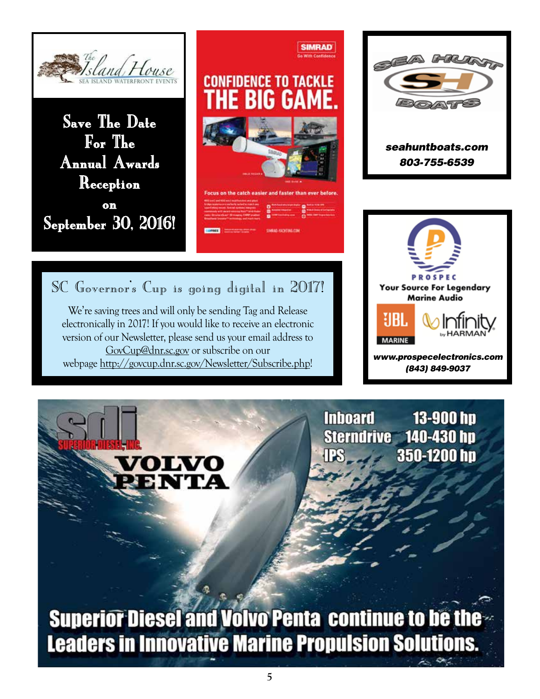







SC Governor's Cup is going digital in 2017!

We're saving trees and will only be sending Tag and Release electronically in 2017! If you would like to receive an electronic version of our Newsletter, please send us your email address to GovCup@dnr.sc.gov or subscribe on our webpage http://govcup.dnr.sc.gov/Newsletter/Subscribe.php!

> **Inboard** 13-900 hp Sterndrive 140-430 hp 350-1200 hp

**Superior Diesel and Volvo Penta continue to be the Leaders in Innovative Marine Propulsion Solutions.**